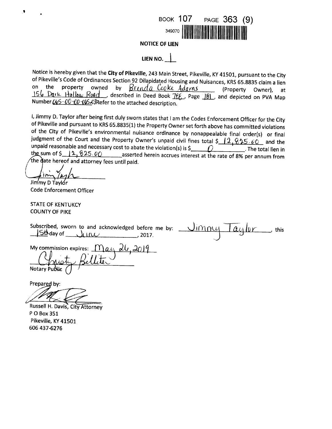

 $\overline{\phantom{a}}$ , this

**NOTICE OF LIEN** 

LIEN NO.  $\vert$ 

Notice is hereby given that the City of Pikeville, 243 Main Street, Pikeville, KY 41501, pursuant to the City of Pikeville's Code of Ordinances Section 92 Dilapidated Housing and Nuisances, KRS 65.8835 claim a lien on the property owned by Brenda Cooke Adams (Property Owner), at 156 Dark Hollow Road, described in Deed Book TEE, Page 181, and depicted on PVA Map Number  $0.65 - 0.07 - 0.06 - 0.03$  Refer to the attached description.

I, Jimmy D. Taylor after being first duly sworn states that I am the Codes Enforcement Officer for the City of Pikeville and pursuant to KRS 65.8835(1) the Property Owner set forth above has committed violations of the City of Pikeville's environmental nuisance ordinance by nonappealable final order(s) or final judgment of the Court and the Property Owner's unpaid civil fines total \$ 12, 825.00 and the unpaid reasonable and necessary cost to abate the violation(s) is  $\zeta$  () . The total lien in the sum of  $\frac{12}{825.00}$  asserted herein accrues interest at the rate of 8% per annum from the date hereof and attorney fees until paid.

Jimmy D Taylor **Code Enforcement Officer** 

**STATE OF KENTUKCY COUNTY OF PIKE** 

aylor

My commission expires:<br>  $\bigcap_{n=0}^{\infty}$ 

Prepared by:

Russell H. Davis, City Attorney P O Box 351 Pikeville, KY 41501 606 437-6276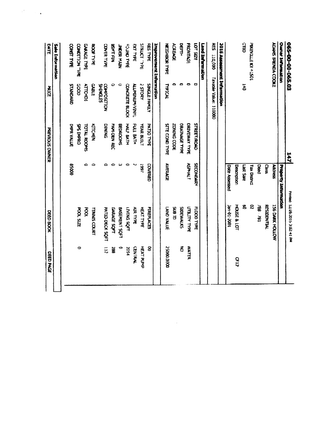| 065-00-00-065.03                   |                                    | <b>TAT</b>             |                             | Printed 32/29/2015 3:02-41 Printed |                  |
|------------------------------------|------------------------------------|------------------------|-----------------------------|------------------------------------|------------------|
| <b>Owner Information</b>           |                                    |                        | <b>Property Information</b> |                                    |                  |
| <b>ADAMS BRENDA COOKE</b>          |                                    |                        | <b>Adres</b>                | 156 DARK HOLLOW                    |                  |
|                                    |                                    |                        | Cast                        | RESIDENTIAL                        |                  |
|                                    |                                    |                        | <b>Deed</b>                 | 186 181                            |                  |
| <b>MKENTTERN + DOIT</b>            |                                    |                        | Tax District                | $\boldsymbol{z}$                   |                  |
| $\frac{1}{5}$                      | $\overline{5}$                     |                        | Let Sale                    | Š                                  |                  |
|                                    |                                    |                        | Description                 | HOLSE & LOT                        | $\frac{9}{11}$   |
|                                    |                                    |                        | <b>Date Assessed</b>        | Jan-01-2001                        |                  |
| <b>2016 Assessment Information</b> |                                    |                        |                             |                                    |                  |
| <b>RES</b> 110,000                 | Paxable Value: 110000              |                        |                             |                                    |                  |
| <b>Lauteman and Date</b>           |                                    |                        |                             |                                    |                  |
| 1215 101                           | ο                                  | <b>STREET/ROAD</b>     | SECONDARY                   | FLOOD TYPE                         |                  |
| FRONTIGE                           | $\bullet$                          | DRIVEWAY TYPE          | <b>ASPHALT</b>              | <b>MILITY TYPE</b>                 | <b>WATER</b>     |
| <b>UEPTH</b>                       | e,                                 | <b>ORAINAGE TYPE</b>   |                             | SIDEWALKS                          | ð                |
| XXEXX                              |                                    | ZONDNG CODE            |                             | <b>SIB</b><br>D                    |                  |
| <b>NEUROR LAP</b>                  | <b>HOIGH</b>                       | <b>SITE COMO TYPE</b>  | AVERAGE                     | <b>ENAN CHALL</b>                  | DOOG DOOS        |
| Improvement Information            |                                    |                        |                             |                                    |                  |
| <b>RES TYPE</b>                    | SINGLE FAMILY                      | <b>PATIO TYPE</b>      | COVERED                     | FIREPLACES                         | g                |
| <b>STRUCT TYRE</b>                 | <b>AUGULS?</b>                     | <b>TEAR BUILT</b>      | (661                        | <b>HEAT TYPE</b>                   | <b>HEAT PUMP</b> |
| <b>SAT TARE</b>                    | <b>TAMPA NONDATTY</b>              | <b>POLL BATH</b>       |                             | <b>AIR TYPE</b>                    | <b>CENTRAL</b>   |
| <b>BAJ ONICO</b>                   | <b>CONCRETE BLOCK</b>              | <b>HALL BATH</b>       | c                           | <b>LHOS SNINT</b>                  | 50.44            |
| NEW YORK                           | 0                                  | BEDROOMS               | لما                         | <b>BASEMENT SQFT</b>               | Þ                |
| あえづかえ                              | ٥                                  | FAM-DEN REC            | c                           | <b>EAAGE SCAT</b>                  | ã                |
| <b>COVER TIPE</b>                  | <b>SHING</b><br><b>COMPOSITION</b> | <b>SWINIC</b>          | ٥                           | PATIO-DECK SQFT                    |                  |
| <b>ROOF TYPE</b>                   | <b>GABLE</b>                       | <b>KITCHEN</b>         | ø                           | <b>TENNIS COURT</b>                |                  |
| <b>GARAGE TYPE</b>                 | ATTCHD1                            | <b>SMOON TYADL</b>     | ⇔                           | Š                                  |                  |
| <b>CONDITION THE</b>               | SS<br>SSS                          | CNdMI SdS              |                             | <b>POOL</b> SLIZE                  | 0                |
| <b>CONSTITUTE</b>                  | <b>CLANDARD</b>                    | <b>INPRY ANLUE</b>     | <b>95000</b>                |                                    |                  |
| Sale Information                   |                                    |                        |                             |                                    |                  |
| <b>DATE</b>                        | ž                                  | <b>PREVIOUS OVALER</b> |                             | DEED BOOK                          | <b>DRD PKK</b>   |
|                                    |                                    |                        |                             |                                    |                  |

 $\label{eq:2} \left\langle \hat{P}_{\alpha}^{(0)}\right\rangle _{0}=\frac{1}{2}\sum_{\mathbf{k}}\left\langle \hat{P}_{\alpha}^{(0)}\right\rangle _{0}=\frac{1}{2}\sum_{\mathbf{k}}\left\langle \hat{P}_{\alpha}^{(0)}\right\rangle _{0}$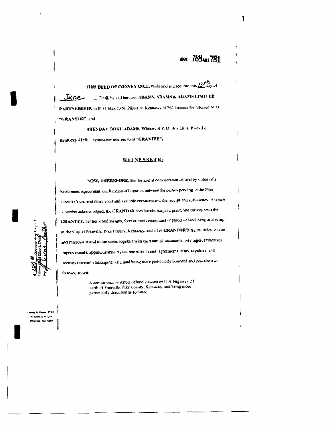# аж 788 мл 781

THIS DEED OF CONVEYANCE, mode and maxicd into this  $\underline{B}^{\mu\nu}_{\mu\nu\lambda}$  of JUNE - 1898 by and between ADAMS ADAMS & ADAMS LIMITED PARTNERSHIP, at P. O. Bax 2330, Pikeothe, Kentacky 41502, ineremation referred to as "GRANTOR", and

HRENDA COOKE ADAMS, Widow, of P. O. Box 1618, Bace die, Kennexy 41501, hereinalter reterred to as "GRANTEE",

## **WITNESSETH:**

NOW, THEREFORE, that for and in consideration of, and by virtue of a Settlement Agreement and Release of Idugation between the parties pending in the Pike f irrust Court, and other good and valuable constitution, the recopt and sufficiency of which Chereby sekrate edged, the GRANTOR does hereby bargain, grant, and convey unto the GRANTEE, her herrs and assigns, ferever, that certain tract or pareel of land tying and being in the Caty of Pikesiste, Pike County, Kentucky, and all of GRANTOR'S rights, rides, estates and interests in and to the same, together with each and all easements, provingers, tranchises, improvements, appurtenances, regits, remedies, leases, agreements, rents, reyalties, and licenses thereumo belonging, said land being more particularly bounded and coseribed as

fellows, lessel:

A derivation and or pareel of land satuated on  $Q$  %. Highway 23, nath of Pikeville, Pike Cousty, Kentucky, and being more particularly described as follows:

us PSC Lange is the .<br>Artiskolot en Lem Perguran, Santildae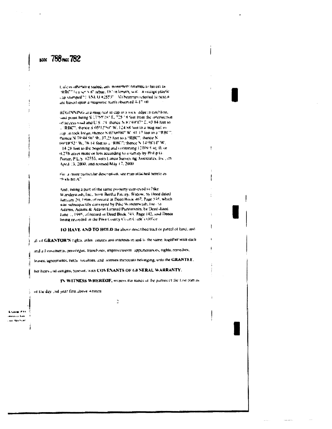## **INOK 788 PMKE 782**

), alcos otherwise stated, any monoture returned to hereal as "RBC" is a set n-8" rebar, 18" in lempth, with in orange plastic. cap stummed "1.450, O #2553" All bearings referred to mercial are based upon a magnetic naria observed 4-17 (8).

HEGHNNPGG at a ring rad in cap in a user ledge in catchbae, said noint being S (7155287 E, 725.58 feet from the intersection of access wood and U.S. 25. thereof N 879491479 E, 93-84 Ree to L'RBC", theode S 05°12'50" W. L24.88 tool on a magination. sup in rock ledge; thence S (EPu98BP W, 81-13 feet to a "BBC") mence N 70544 Std W. 37.25 hee to a "RBC", thence N (601B/521 W, 76.14 feet to a "RHC") thence N 14:58'14" W. 14.26 feet to the begraning and containing 11000 5 sq. ft. or (L276 acros more or less according to a survey by Plat-p.c). Poiter, P.L.S. #2553, with Lanco Survey-ng Associates, Inc., an Apost 13, 2000, and revised May 17, 2000

Fast a strong particular descriptions, see map attached herein as than bot AT

And, being a part of the same preperty conveyed to like. Warslerwash, Inc., from Bertha Pauley. Withow, by Deed dated January 20, 19no, of resord in Deen House 467, Page 538, which was subsequently carveyed by Pike Wanderwash, Inc., as Adams, Adams & Adams Limited Partnersnin, by Deed dated Jane 1, 1995, at recard at Deed Back 745, Page 142, and Deeds being recorded in the Pike County Court Coefe's Office.

TO HAVE AND TO HOLD the above described fract or parcel of land, and

all of GRANTOR'S rights, atles, estates and attenests in and to the same, together with each

and all ensements, providges, tranchooss, improvements, appurientings, rights, remedies,

leases, agreements, rents, fovalties, and acenses increasin neionging, unto the GRANTEE,

 $\tilde{\mathbb{C}}$ 

her heirs cad assigns, foreser, with COVENANTS OF GENERAL WARRANTY.

JN WITNESS WHEREOF, witness the nands of the parties of the lost part as-

of the day and year first above written

an was .<br>Abiss er fan ing Kaumuan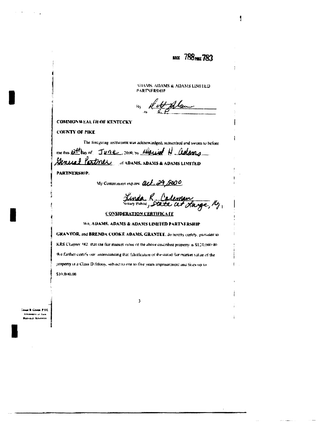MOX 788 PAGE 783

ţ

VIA VS. ADAMS & ADAMS LIMITED PARTNERSHIP

 $B_3$  de t-Alben

#### **COMMONWEALTH OF KENTUCKY**

**COUNTY OF PIKE** 

The foregoing instrument was acknowledged, subscribed and swom to before

mentions Ett bay of June, some by required N adams

Paxtnel of adams, adams & adams Limited General

PARTNERSHIP.

My Commission expires act. 29,5000

Linda R. Calenan

## **CONSIDERATION CERTIFICATE**

We, ADAMS, ADAMS & ADAMS LIMITED PARTNERSHIP

GRANTOR, and BRENDA COOKE ADAMS, GRANTEE, do hereby certify, pursuant to KRS Chapter, 982, that the fair market value of the above oescribed property is \$120,000 (8). We further certify our understanding that falsification of the stated fair market value of the property is a Class D felony, subset to one to five years imprisonment and fines up to \$10,000,00

 $\overline{\mathbf{3}}$ 

**B. Course P.S.C.** vooren ar Gaw .<br>Parodak Kismen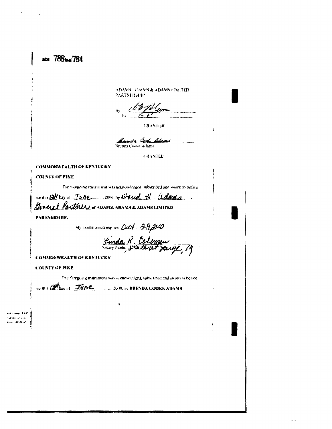NOW 788 PALE 784

ADAMS, ADAMS & ADAMS (INCTED) **PARTNERSHIP** 

. Atten

"GRANTOR"

**Assade Cook Adams**<br>Brenes Criske Adams

**GRANTEET** 

## **COMMONWEALTH OF KENTICKY**

**COUNTY OF PIKE** 

The "oregoing this aim in was acknowledged, subscribed and swort to before

or the Ett lay of June man by Orleand H. adams. General Partner of ADAMS, ADAMS & ADAMS UNITED

PANTNERSHIP.

My Commission expires Cect. 39,2000

Kinda R. Coloman

**COMMONWEALTH OF KENTUCKY** 

**COUNTY OF PIKE** 

The foregoing mainteners was scientiveledged, salswidthed and sworn to belone

 $\mathbf{a}$ 

we ilsts (2Max of TUDE, 1998, by BRENDA COOKE ADAMS

 $0.91$ ales et Saler ieus Kleitkum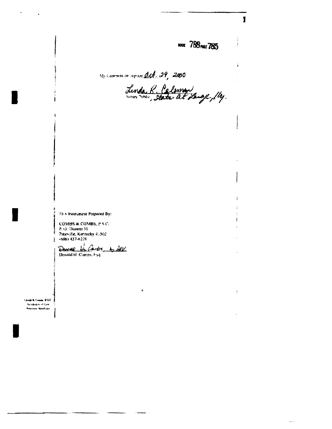мя 788 мл 785

ł

**Good** 

We communicate mere det. 29, 2000

š.

Linda R. Caleman

Fics tostrument Prepared By:

COMBS & COMBS, P S.C.<br>P.O. Drawer 31 Pskevalle, Kennicky 4:502<br>(686) 437-6226

 $\frac{1}{\frac{1}{2}}\frac{1}{\frac{1}{2}}\frac{1}{\frac{1}{2}}\frac{1}{\frac{1}{2}}\frac{1}{\frac{1}{2}}$ 

**Countries** Lease 25C .<br>Articlesiek en Law<br>Popyman Nileft-Chr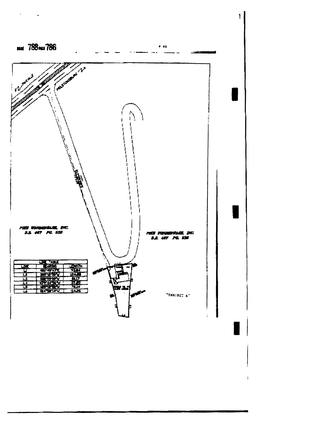